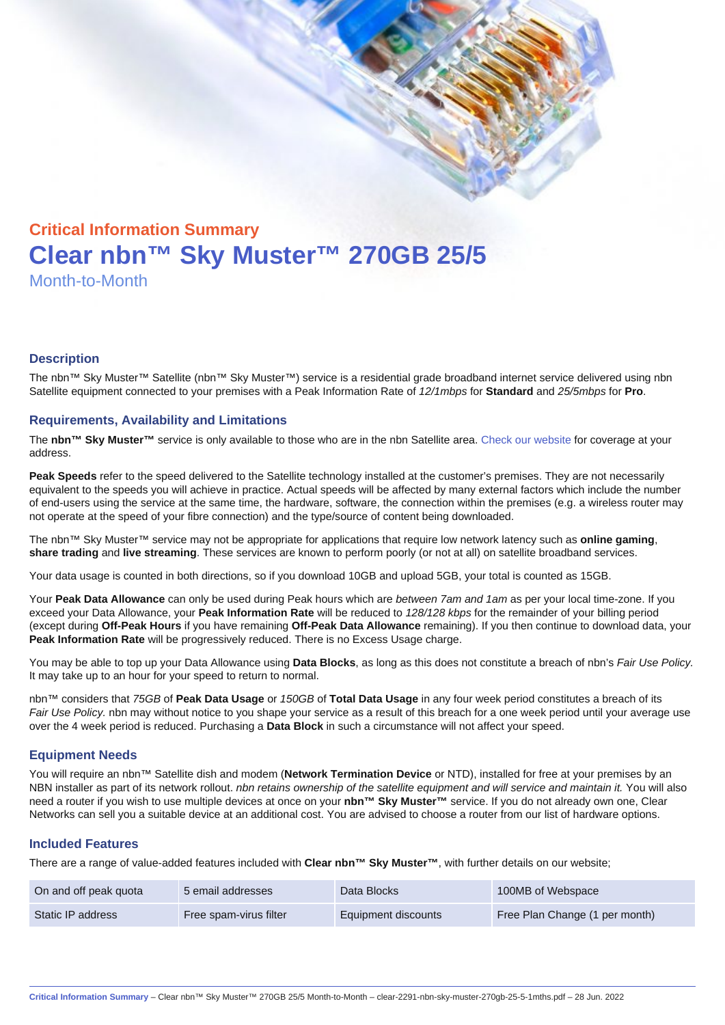# Critical Information Summary Clear nbn™ Sky Muster™ 270GB 25/5 Month-to-Month

#### **Description**

The nbn™ Sky Muster™ Satellite (nbn™ Sky Muster™) service is a residential grade broadband internet service delivered using nbn Satellite equipment connected to your premises with a Peak Information Rate of 12/1mbps for Standard and 25/5mbps for Pro.

#### Requirements, Availability and Limitations

The nbn™ Sky Muster™ service is only available to those who are in the nbn Satellite area. [Check our website](https://www.clear.com.au/business/nbn-sky-muster/availability-coverage/) for coverage at your address.

Peak Speeds refer to the speed delivered to the Satellite technology installed at the customer's premises. They are not necessarily equivalent to the speeds you will achieve in practice. Actual speeds will be affected by many external factors which include the number of end-users using the service at the same time, the hardware, software, the connection within the premises (e.g. a wireless router may not operate at the speed of your fibre connection) and the type/source of content being downloaded.

The nbn™ Sky Muster™ service may not be appropriate for applications that require low network latency such as online gaming , share trading and live streaming . These services are known to perform poorly (or not at all) on satellite broadband services.

Your data usage is counted in both directions, so if you download 10GB and upload 5GB, your total is counted as 15GB.

Your Peak Data Allowance can only be used during Peak hours which are between 7am and 1am as per your local time-zone. If you exceed your Data Allowance, your Peak Information Rate will be reduced to 128/128 kbps for the remainder of your billing period (except during Off-Peak Hours if you have remaining Off-Peak Data Allowance remaining). If you then continue to download data, your Peak Information Rate will be progressively reduced. There is no Excess Usage charge.

You may be able to top up your Data Allowance using Data Blocks , as long as this does not constitute a breach of nbn's Fair Use Policy. It may take up to an hour for your speed to return to normal.

nbn™ considers that 75GB of Peak Data Usage or 150GB of Total Data Usage in any four week period constitutes a breach of its Fair Use Policy. nbn may without notice to you shape your service as a result of this breach for a one week period until your average use over the 4 week period is reduced. Purchasing a Data Block in such a circumstance will not affect your speed.

#### Equipment Needs

You will require an nbn™ Satellite dish and modem (Network Termination Device or NTD), installed for free at your premises by an NBN installer as part of its network rollout. nbn retains ownership of the satellite equipment and will service and maintain it. You will also need a router if you wish to use multiple devices at once on your nbn™ Sky Muster™ service. If you do not already own one, Clear Networks can sell you a suitable device at an additional cost. You are advised to choose a router from our list of hardware options.

#### Included Features

There are a range of value-added features included with Clear nbn™ Sky Muster™ , with further details on our website;

| On and off peak quota | 5 email addresses      | Data Blocks         | 100MB of Webspace              |
|-----------------------|------------------------|---------------------|--------------------------------|
| Static IP address     | Free spam-virus filter | Equipment discounts | Free Plan Change (1 per month) |